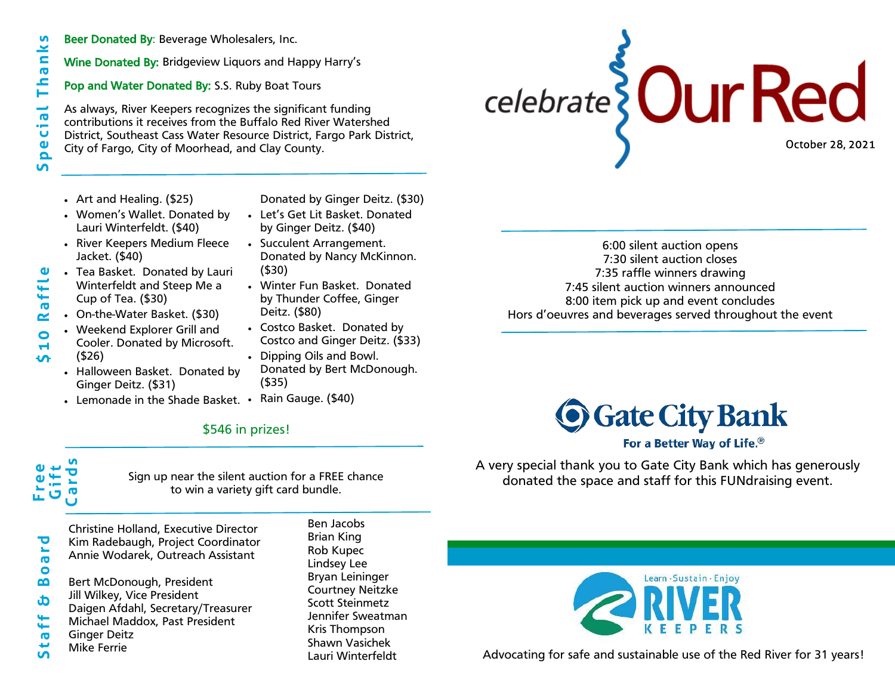- **S p e c i a l T h a n k s**  $\mathbf{u}$ hank Е  $\frac{1}{\sigma}$ ់<br>ប **Pe In**
- Beer Donated By: Beverage Wholesalers, Inc.
- Wine Donated By: Bridgeview Liquors and Happy Harry's
- Pop and Water Donated By: S.S. Ruby Boat Tours

As always, River Keepers recognizes the significant funding contributions it receives from the Buffalo Red River Watershed District, Southeast Cass Water Resource District, Fargo Park District, City of Fargo, City of Moorhead, and Clay County.

- Art and Healing. (\$25)
- Donated by Ginger Deitz. (\$30)
- Women's Wallet. Donated by Lauri Winterfeldt. (\$40)
- River Keepers Medium Fleece Jacket. (\$40)
- Tea Basket. Donated by Lauri Winterfeldt and Steep Me a Cup of Tea. (\$30)
- On-the-Water Basket. (\$30)
- Weekend Explorer Grill and Cooler. Donated by Microsoft. (\$26)
- Halloween Basket. Donated by Ginger Deitz. (\$31)
- Lemonade in the Shade Basket. •
- Let's Get Lit Basket. Donated by Ginger Deitz. (\$40)
- Succulent Arrangement. Donated by Nancy McKinnon. (\$30)
- Winter Fun Basket. Donated by Thunder Coffee, Ginger Deitz. (\$80)
- Costco Basket. Donated by Costco and Ginger Deitz. (\$33)
- Dipping Oils and Bowl. Donated by Bert McDonough. (\$35)
- Rain Gauge. (\$40)

## \$546 in prizes!

**F r e e G i f t C a r d s**

**\$ 1 0 R a f f l e**

Sign up near the silent auction for a FREE chance to win a variety gift card bundle.

Christine Holland, Executive Director Kim Radebaugh, Project Coordinator Annie Wodarek, Outreach Assistant

Bert McDonough, President Jill Wilkey, Vice President Daigen Afdahl, Secretary/Treasurer Michael Maddox, Past President Ginger Deitz Mike Ferrie

Ben Jacobs Brian King Rob Kupec Lindsey Lee Bryan Leininger Courtney Neitzke Scott Steinmetz Jennifer Sweatman Kris Thompson Shawn Vasichek Lauri Winterfeldt

6:00 silent auction opens 7:30 silent auction closes 7:35 raffle winners drawing 7:45 silent auction winners announced 8:00 item pick up and event concludes Hors d'oeuvres and beverages served throughout the event

celebrate Our Red

October 28, 2021



For a Better Way of Life.®

A very special thank you to Gate City Bank which has generously donated the space and staff for this FUNdraising event.



Advocating for safe and sustainable use of the Red River for 31 years!